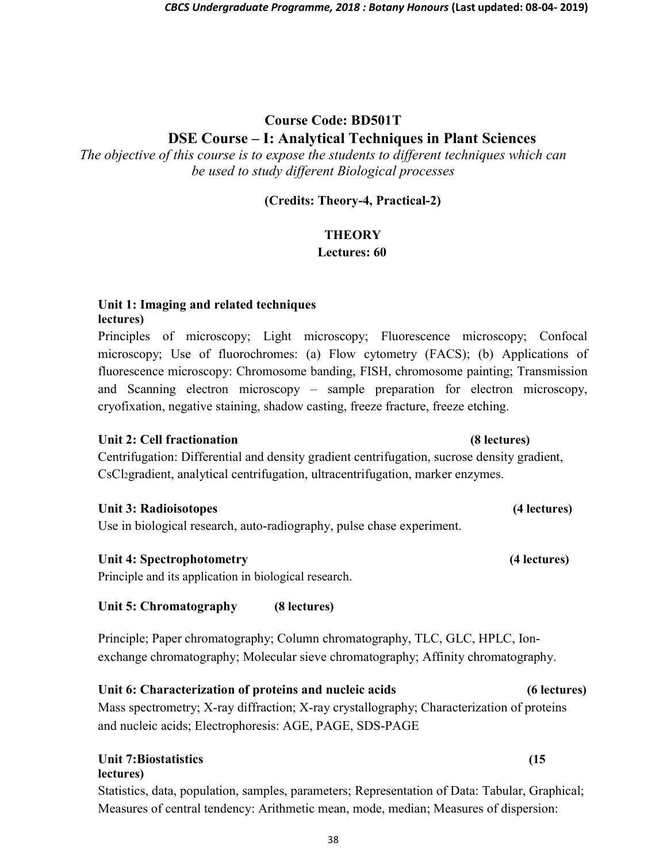# Course Code: BD501T DSE Course – I: Analytical Techniques in Plant Sciences

The objective of this course is to expose the students to different techniques which can be used to study different Biological processes

#### (Credits: Theory-4, Practical-2)

### **THEORY**

#### Lectures: 60

#### Unit 1: Imaging and related techniques lectures)

Principles of microscopy; Light microscopy; Fluorescence microscopy; Confocal microscopy; Use of fluorochromes: (a) Flow cytometry (FACS); (b) Applications of fluorescence microscopy: Chromosome banding, FISH, chromosome painting; Transmission and Scanning electron microscopy – sample preparation for electron microscopy, cryofixation, negative staining, shadow casting, freeze fracture, freeze etching.

### Unit 2: Cell fractionation **(8)** extended (8) lectures)

Centrifugation: Differential and density gradient centrifugation, sucrose density gradient, CsCl2gradient, analytical centrifugation, ultracentrifugation, marker enzymes.

#### Unit 3: Radioisotopes (4 lectures)

Use in biological research, auto-radiography, pulse chase experiment.

### Unit 4: Spectrophotometry (4 lectures)

Principle and its application in biological research.

### Unit 5: Chromatography (8 lectures)

Principle; Paper chromatography; Column chromatography, TLC, GLC, HPLC, Ionexchange chromatography; Molecular sieve chromatography; Affinity chromatography.

# Unit 6: Characterization of proteins and nucleic acids (6 lectures)

Mass spectrometry; X-ray diffraction; X-ray crystallography; Characterization of proteins and nucleic acids; Electrophoresis: AGE, PAGE, SDS-PAGE

#### Unit 7:Biostatistics (15 lectures)

Statistics, data, population, samples, parameters; Representation of Data: Tabular, Graphical; Measures of central tendency: Arithmetic mean, mode, median; Measures of dispersion: